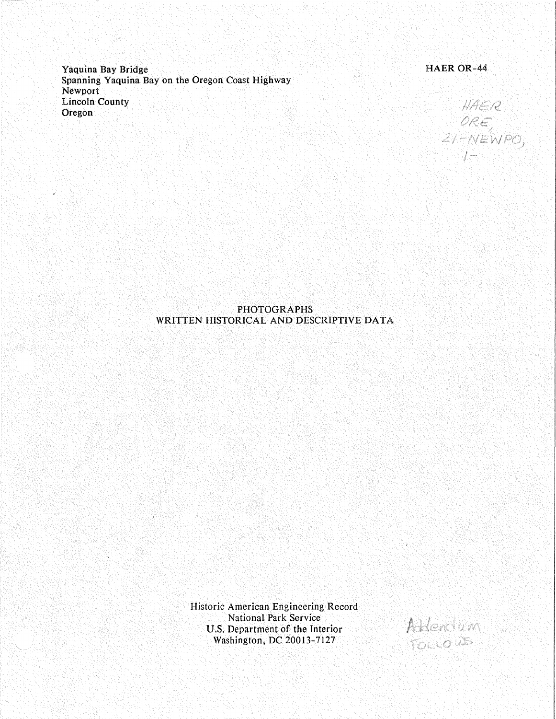Yaquina Bay Bridge Spanning Yaquina Bay on the Oregon Coast Highway Newport Lincoln County Oregon

# HAER OR-44

HAER  $ORE$ <br>21-NEWPO,  $1 - 1$ 

## PHOTOGRAPHS WRITTEN HISTORICAL AND DESCRIPTIVE DATA

Historic American Engineering Record National Park Service U.S. Department of the Interior Washington, DC 20013-7127

Addression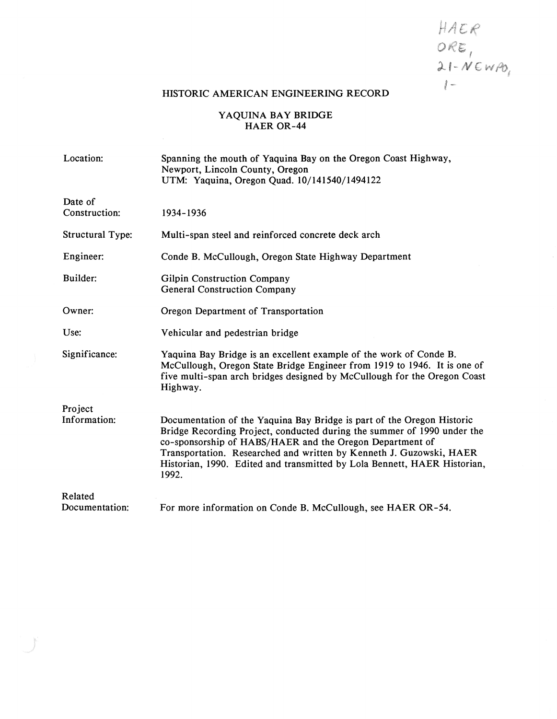HAER  $ORE$ <br>  $Q.1 - NENPO$ <br>  $I -$ 

# HISTORIC AMERICAN ENGINEERING RECORD

## **Y AQUINA BAY BRIDGE HAER OR-44**

| Location:                | Spanning the mouth of Yaquina Bay on the Oregon Coast Highway,<br>Newport, Lincoln County, Oregon<br>UTM: Yaquina, Oregon Quad. 10/141540/1494122                                                                                                                                                                                                                         |
|--------------------------|---------------------------------------------------------------------------------------------------------------------------------------------------------------------------------------------------------------------------------------------------------------------------------------------------------------------------------------------------------------------------|
| Date of<br>Construction: | 1934-1936                                                                                                                                                                                                                                                                                                                                                                 |
| <b>Structural Type:</b>  | Multi-span steel and reinforced concrete deck arch                                                                                                                                                                                                                                                                                                                        |
| Engineer:                | Conde B. McCullough, Oregon State Highway Department                                                                                                                                                                                                                                                                                                                      |
| Builder:                 | Gilpin Construction Company<br><b>General Construction Company</b>                                                                                                                                                                                                                                                                                                        |
| Owner:                   | Oregon Department of Transportation                                                                                                                                                                                                                                                                                                                                       |
| Use:                     | Vehicular and pedestrian bridge                                                                                                                                                                                                                                                                                                                                           |
| Significance:            | Yaquina Bay Bridge is an excellent example of the work of Conde B.<br>McCullough, Oregon State Bridge Engineer from 1919 to 1946. It is one of<br>five multi-span arch bridges designed by McCullough for the Oregon Coast<br>Highway.                                                                                                                                    |
| Project                  |                                                                                                                                                                                                                                                                                                                                                                           |
| Information:             | Documentation of the Yaquina Bay Bridge is part of the Oregon Historic<br>Bridge Recording Project, conducted during the summer of 1990 under the<br>co-sponsorship of HABS/HAER and the Oregon Department of<br>Transportation. Researched and written by Kenneth J. Guzowski, HAER<br>Historian, 1990. Edited and transmitted by Lola Bennett, HAER Historian,<br>1992. |
| Related                  |                                                                                                                                                                                                                                                                                                                                                                           |
| Documentation:           | For more information on Conde B. McCullough, see HAER OR-54.                                                                                                                                                                                                                                                                                                              |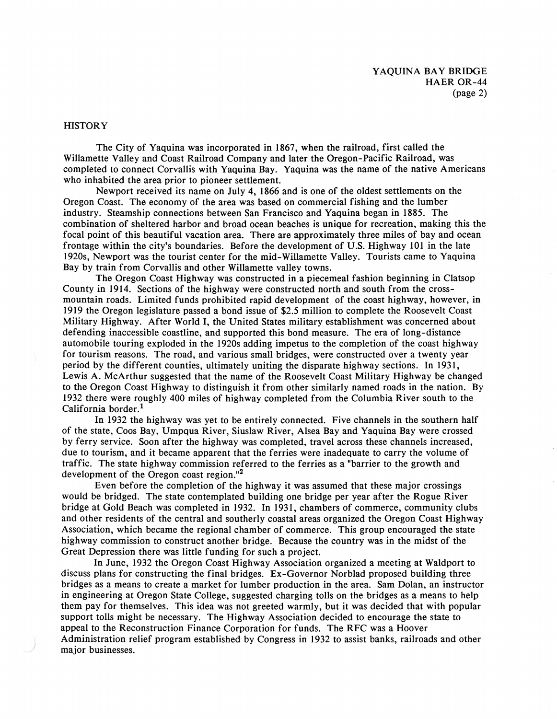#### **HISTORY**

The City of Yaquina was incorporated in 1867, when the railroad, first called the Willamette Valley and Coast Railroad Company and later the Oregon-Pacific Railroad, was completed to connect Corvallis with Yaquina Bay. Yaquina was the name of the native Americans who inhabited the area prior to pioneer settlement.

Newport received its name on July 4, 1866 and is one of the oldest settlements on the Oregon Coast. The economy of the area was based on commercial fishing and the lumber industry. Steamship connections between San Francisco and Yaquina began in 1885. The combination of sheltered harbor and broad ocean beaches is unique for recreation, making this the focal point of this beautiful vacation area. There are approximately three miles of bay and ocean frontage within the city's boundaries. Before the development of U.S. Highway 101 in the late 1920s, Newport was the tourist center for the mid-Willamette Valley. Tourists came to Yaquina Bay by train from Corvallis and other Willamette valley towns.

The Oregon Coast Highway was constructed in a piecemeal fashion beginning in Clatsop County in 1914. Sections of the highway were constructed north and south from the crossmountain roads. Limited funds prohibited rapid development of the coast highway, however, in 1919 the Oregon legislature passed a bond issue of \$2.5 million to complete the Roosevelt Coast Military Highway. After World I, the United States military establishment was concerned about defending inaccessible coastline, and supported this bond measure. The era of long-distance automobile touring exploded in the 1920s adding impetus to the completion of the coast highway for tourism reasons. The road, and various small bridges, were constructed over a twenty year period by the different counties, ultimately uniting the disparate highway sections. In 1931, Lewis A. McArthur suggested that the name of the Roosevelt Coast Military Highway be changed to the Oregon Coast Highway to distinguish it from other similarly named roads in the nation. By 1932 there were roughly 400 miles of highway completed from the Columbia River south to the California border.<sup>1</sup>

In 1932 the highway was yet to be entirely connected. Five channels in the southern half of the state, Coos Bay, Umpqua River, Siuslaw River, Alsea Bay and Yaquina Bay were crossed by ferry service. Soon after the highway was completed, travel across these channels increased, due to tourism, and it became apparent that the ferries were inadequate to carry the volume of traffic. The state highway commission referred to the ferries as a "barrier to the growth and development of the Oregon coast region."2

Even before the completion of the highway it was assumed that these major crossings would be bridged. The state contemplated building one bridge per year after the Rogue River bridge at Gold Beach was completed in 1932. In 1931, chambers of commerce, community clubs and other residents of the central and southerly coastal areas organized the Oregon Coast Highway Association, which became the regional chamber of commerce. This group encouraged the state highway commission to construct another bridge. Because the country was in the midst of the Great Depression there was little funding for such a project.

In June, 1932 the Oregon Coast Highway Association organized a meeting at Waldport to discuss plans for constructing the final bridges. Ex-Governor Norblad proposed building three bridges as a means to create a market for lumber production in the area. Sam Dolan, an instructor in engineering at Oregon State College, suggested charging tolls on the bridges as a means to help them pay for themselves. This idea was not greeted warmly, but it was decided that with popular support tolls might be necessary. The Highway Association decided to encourage the state to appeal to the Reconstruction Finance Corporation for funds. The RFC was a Hoover Administration relief program established by Congress in 1932 to assist banks, railroads and other major businesses.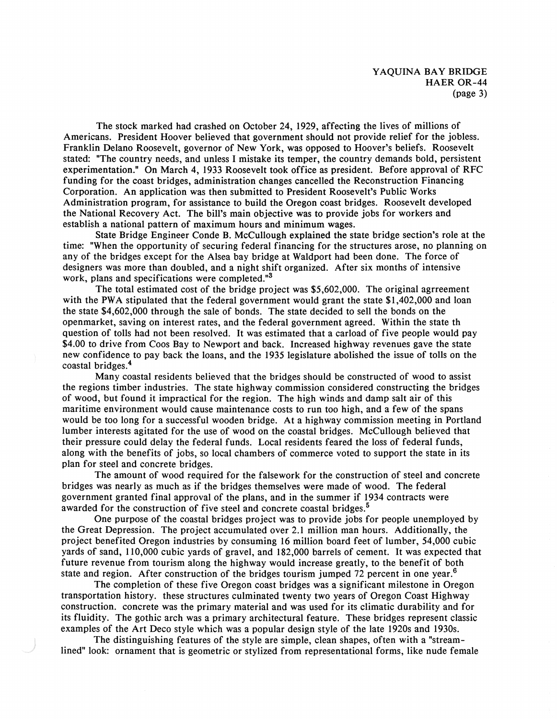The stock marked had crashed on October 24, 1929, affecting the lives of millions of Americans. President Hoover believed that government should not provide relief for the jobless. Franklin Delano Roosevelt, governor of New York, was opposed to Hoover's beliefs. Roosevelt stated: "The country needs, and unless I mistake its temper, the country demands bold, persistent experimentation." On March 4, 1933 Roosevelt took office as president. Before approval of RFC funding for the coast bridges, administration changes cancelled the Reconstruction Financing Corporation. An application was then submitted to President Roosevelt's Public Works Administration program, for assistance to build the Oregon coast bridges. Roosevelt developed the National Recovery Act. The bill's main objective was to provide jobs for workers and establish a national pattern of maximum hours and minimum wages.

State Bridge Engineer Conde B. McCullough explained the state bridge section's role at the time: "When the opportunity of securing federal financing for the structures arose, no planning on any of the bridges except for the Alsea bay bridge at Waldport had been done. The force of designers was more than doubled, and a night shift organized. After six months of intensive work, plans and specifications were completed."<sup>3</sup>

The total estimated cost of the bridge project was \$5,602,000. The original agrreement with the PWA stipulated that the federal government would grant the state \$1,402,000 and loan the state \$4,602,000 through the sale of bonds. The state decided to sell the bonds on the openmarket, saving on interest rates, and the federal government agreed. Within the state th question of tolls had not been resolved. It was estimated that a carload of five people would pay \$4.00 to drive from Coos Bay to Newport and back. Increased highway revenues gave the state new confidence to pay back the loans, and the 1935 legislature abolished the issue of tolls on the coastal bridges.<sup>4</sup>

Many coastal residents believed that the bridges should be constructed of wood to assist the regions timber industries. The state highway commission considered constructing the bridges of wood, but found it impractical for the region. The high winds and damp salt air of this maritime environment would cause maintenance costs to run too high, and a few of the spans would be too long for a successful wooden bridge. At a highway commission meeting in Portland lumber interests agitated for the use of wood on the coastal bridges. McCullough believed that their pressure could delay the federal funds. Local residents feared the loss of federal funds, along with the benefits of jobs, so local chambers of commerce voted to support the state in its plan for steel and concrete bridges.

The amount of wood required for the falsework for the construction of steel and concrete bridges was nearly as much as if the bridges themselves were made of wood. The federal government granted final approval of the plans, and in the summer if 1934 contracts were awarded for the construction of five steel and concrete coastal bridges.<sup>5</sup>

One purpose of the coastal bridges project was to provide jobs for people unemployed by the Great Depression. The project accumulated over 2.1 million man hours. Additionally, the project benefited Oregon industries by consuming 16 million board feet of lumber, 54,000 cubic yards of sand, 110,000 cubic yards of gravel, and 182,000 barrels of cement. It was expected that future revenue from tourism along the highway would increase greatly, to the benefit of both state and region. After construction of the bridges tourism jumped 72 percent in one year.<sup>6</sup>

The completion of these five Oregon coast bridges was a significant milestone in Oregon transportation history. these structures culminated twenty two years of Oregon Coast Highway construction. concrete was the primary material and was used for its climatic durability and for its fluidity. The gothic arch was a primary architectural feature. These bridges represent classic examples of the Art Deco style which was a popular design style of the late 1920s and 1930s.

The distinguishing features of the style are simple, clean shapes, often with a "streamlined" look: ornament that is geometric or stylized from representational forms, like nude female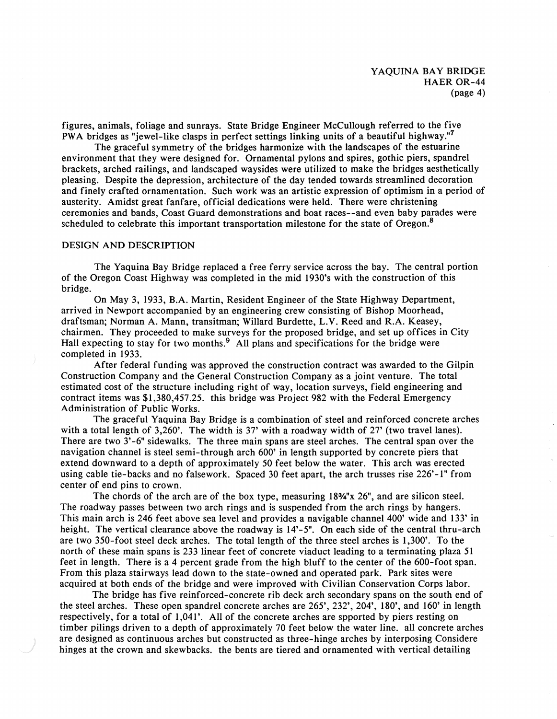figures, animals, foliage and sunrays. State Bridge Engineer McCullough referred to the five PWA bridges as "jewel-like clasps in perfect settings linking units of a beautiful highway."<sup>7</sup>

The graceful symmetry of the bridges harmonize with the landscapes of the estuarine environment that they were designed for. Ornamental pylons and spires, gothic piers, spandrel brackets, arched railings, and landscaped waysides were utilized to make the bridges aesthetically pleasing. Despite the depression, architecture of the day tended towards streamlined decoration and finely crafted ornamentation. Such work was an artistic expression of optimism in a period of austerity. Amidst great fanfare, official dedications were held. There were christening ceremonies and bands, Coast Guard demonstrations and boat races--and even baby parades were scheduled to celebrate this important transportation milestone for the state of Oregon.<sup>8</sup>

#### **DESIGN AND DESCRIPTION**

The Yaquina Bay Bridge replaced a free ferry service across the bay. The central portion of the Oregon Coast Highway was completed in the mid 1930's with the construction of this bridge.

On May 3, 1933, B.A. Martin, Resident Engineer of the State Highway Department, arrived in Newport accompanied by an engineering crew consisting of Bishop Moorhead, draftsman; Norman A. Mann, transitman; Willard Burdette, L.V. Reed and R.A. Keasey, chairmen. They proceeded to make surveys for the proposed bridge, and set up offices in City Hall expecting to stay for two months.<sup>9</sup> All plans and specifications for the bridge were completed in 1933.

After federal funding was approved the construction contract was awarded to the Gilpin Construction Company and the General Construction Company as a joint venture. The total estimated cost of the structure including right of way, location surveys, field engineering and contract items was \$1,380,457.25. this bridge was Project 982 with the Federal Emergency Administration of Public Works.

The graceful Yaquina Bay Bridge is a combination of steel and reinforced concrete arches with a total length of 3,260'. The width is 37' with a roadway width of 27' (two travel lanes). There are two 3'-6" sidewalks. The three main spans are steel arches. The central span over the navigation channel is steel semi-through arch 600' in length supported by concrete piers that extend downward to a depth of approximately *50* feet below the water. This arch was erected using cable tie-backs and no falsework. Spaced 30 feet apart, the arch trusses rise 226'-1" from center of end pins to crown.

The chords of the arch are of the box type, measuring **183/4"x** 26", and are silicon steel. The roadway passes between two arch rings and is suspended from the arch rings by hangers. This main arch is 246 feet above sea level and provides a navigable channel 400' wide and 133' in height. The vertical clearance above the roadway is  $14^{3}-5$ ". On each side of the central thru-arch are two 350-foot steel deck arches. The total length of the three steel arches is 1,300'. To the north of these main spans is 233 linear feet of concrete viaduct leading to a terminating plaza 51 feet in length. There is a 4 percent grade from the high bluff to the center of the 600-foot span. From this plaza stairways lead down to the state-owned and operated park. Park sites were acquired at both ends of the bridge and were improved with Civilian Conservation Corps labor.

The bridge has five reinforced-concrete rib deck arch secondary spans on the south end of the steel arches. These open spandrel concrete arches are 265', 232', 204', 180', and 160' in length respectively, for a total of 1,041'. All of the concrete arches are spported by piers resting on timber pilings driven to a depth of approximately 70 feet below the water line. all concrete arches are designed as continuous arches but constructed as three-hinge arches by interposing Considere hinges at the crown and skewbacks. the bents are tiered and ornamented with vertical detailing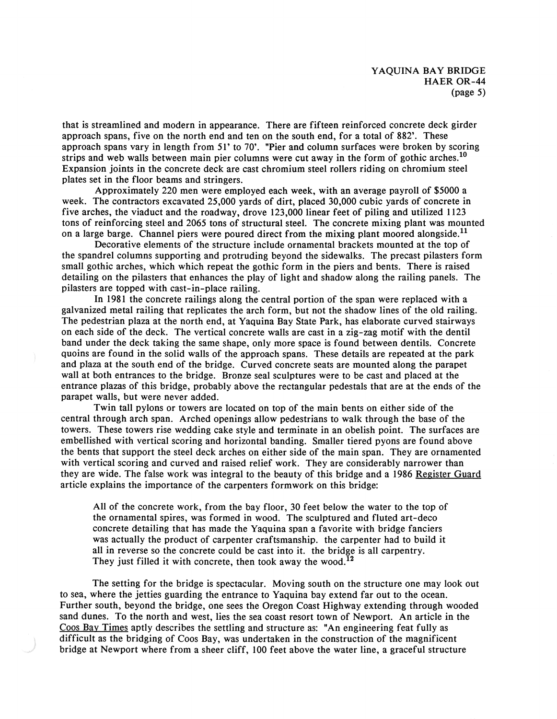that is streamlined and modern in appearance. There are fifteen reinforced concrete deck girder approach spans, five on the north end and ten on the south end, for a total of 882'. These approach spans vary in length from 51' to 70'. "Pier and column surfaces were broken by scoring strips and web walls between main pier columns were cut away in the form of gothic arches.<sup>10</sup> Expansion joints in the concrete deck are cast chromium steel rollers riding on chromium steel plates set in the floor beams and stringers.

Approximately 220 men were employed each week, with an average payroll of \$5000 a week. The contractors excavated 25,000 yards of dirt, placed 30,000 cubic yards of concrete in five arches, the viaduct and the roadway, drove 123,000 linear feet of piling and utilized 1123 tons of reinforcing steel and 2065 tons of structural steel. The concrete mixing plant was mounted on a large barge. Channel piers were poured direct from the mixing plant moored alongside.<sup>11</sup>

Decorative elements of the structure include ornamental brackets mounted at the top of the spandrel columns supporting and protruding beyond the sidewalks. The precast pilasters form small gothic arches, which which repeat the gothic form in the piers and bents. There is raised detailing on the pilasters that enhances the play of light and shadow along the railing panels. The pilasters are topped with cast-in-place railing.

In 1981 the concrete railings along the central portion of the span were replaced with a galvanized metal railing that replicates the arch form, but not the shadow lines of the old railing. The pedestrian plaza at the north end, at Yaquina Bay State Park, has elaborate curved stairways on each side of the deck. The vertical concrete walls are cast in a zig-zag motif with the dentil band under the deck taking the same shape, only more space is found between dentils. Concrete quoins are found in the solid walls of the approach spans. These details are repeated at the park and plaza at the south end of the bridge. Curved concrete seats are mounted along the parapet wall at both entrances to the bridge. Bronze seal sculptures were to be cast and placed at the entrance plazas of this bridge, probably above the rectangular pedestals that are at the ends of the parapet walls, but were never added.

Twin tall pylons or towers are located on top of the main bents on either side of the central through arch span. Arched openings allow pedestrians to walk through the base of the towers. These towers rise wedding cake style and terminate in an obelish point. The surfaces are embellished with vertical scoring and horizontal banding. Smaller tiered pyons are found above the bents that support the steel deck arches on either side of the main span. They are ornamented with vertical scoring and curved and raised relief work. They are considerably narrower than they are wide. The false work was integral to the beauty of this bridge and a 1986 Register Guard article explains the importance of the carpenters formwork on this bridge:

All of the concrete work, from the bay floor, 30 feet below the water to the top of the ornamental spires, was formed in wood. The sculptured and fluted art-deco concrete detailing that has made the Yaquina span a favorite with bridge fanciers was actually the product of carpenter craftsmanship. the carpenter had to build it all in reverse so the concrete could be cast into it. the bridge is all carpentry. They just filled it with concrete, then took away the wood.<sup>12</sup>

The setting for the bridge is spectacular. Moving south on the structure one may look out to sea, where the jetties guarding the entrance to Yaquina bay extend far out to the ocean. Further south, beyond the bridge, one sees the Oregon Coast Highway extending through wooded sand dunes. To the north and west, lies the sea coast resort town of Newport. An article in the Coos Bay Times aptly describes the settling and structure as: "An engineering feat fully as difficult as the bridging of Coos Bay, was undertaken in the construction of the magnificent bridge at Newport where from a sheer cliff, 100 feet above the water line, a graceful structure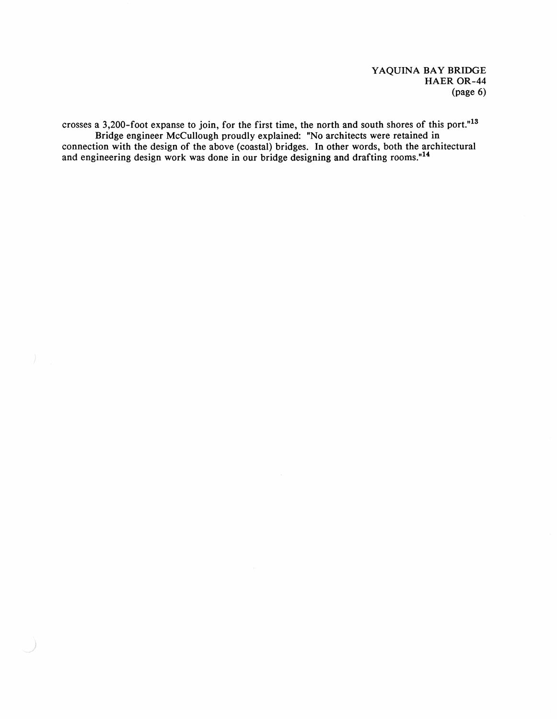crosses a 3,200-foot expanse to join, for the first time, the north and south shores of this port."<sup>13</sup> Bridge engineer McCullough proudly explained: "No architects were retained in connection with the design of the above (coastal) bridges. In other words, both the architectural and engineering design work was done in our bridge designing and drafting rooms."14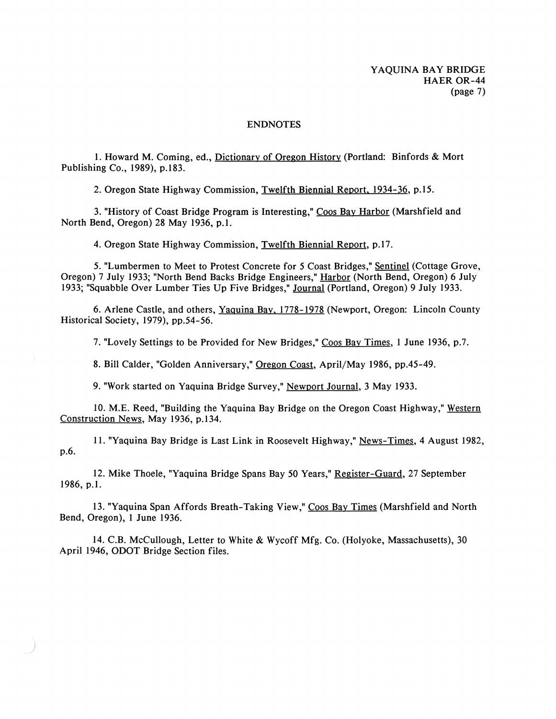#### ENDNOTES

1. Howard M. Coming, ed., Dictionary of Oregon History (Portland: Binfords & Mort Publishing Co., 1989), p.183.

2. Oregon State Highway Commission, Twelfth Biennial Report, 1934-36, p.15.

3. "History of Coast Bridge Program is Interesting," Coos Bay Harbor (Marshfield and North Bend, Oregon) 28 May 1936, p.1.

4. Oregon State Highway Commission, Twelfth Biennial Report, p.17.

*5.* "Lumbermen to Meet to Protest Concrete for *5* Coast Bridges," Sentinel (Cottage Grove, Oregon) 7 July 1933; "North Bend Backs Bridge Engineers," Harbor (North Bend, Oregon) 6 July 1933; "Squabble Over Lumber Ties Up Five Bridges," Journal (Portland, Oregon) 9 July 1933.

6. Arlene Castle, and others, Yaguina Bay, 1778-1978 (Newport, Oregon: Lincoln County Historical Society, 1979), pp.54-56.

7. "Lovely Settings to be Provided for New Bridges," Coos Bay Times, 1 June 1936, p.7.

8. Bill Calder, "Golden Anniversary," Oregon Coast, April/May 1986, pp.45-49.

9. "Work started on Yaquina Bridge Survey," Newport Journal, 3 May 1933.

10. M.E. Reed, "Building the Yaquina Bay Bridge on the Oregon Coast Highway," Western Construction News, May 1936, p.134.

11. "Yaquina Bay Bridge is Last Link in Roosevelt Highway," News-Times, 4 August 1982, p.6.

12. Mike Thoele, "Yaquina Bridge Spans Bay 50 Years," Register-Guard, 27 September 1986, p.1.

13. "Yaquina Span Affords Breath-Taking View," Coos Bay Times (Marshfield and North Bend, Oregon), I June 1936.

14. C.B. McCullough, Letter to White & Wycoff Mfg. Co. (Holyoke, Massachusetts), 30 April 1946, ODOT Bridge Section files.